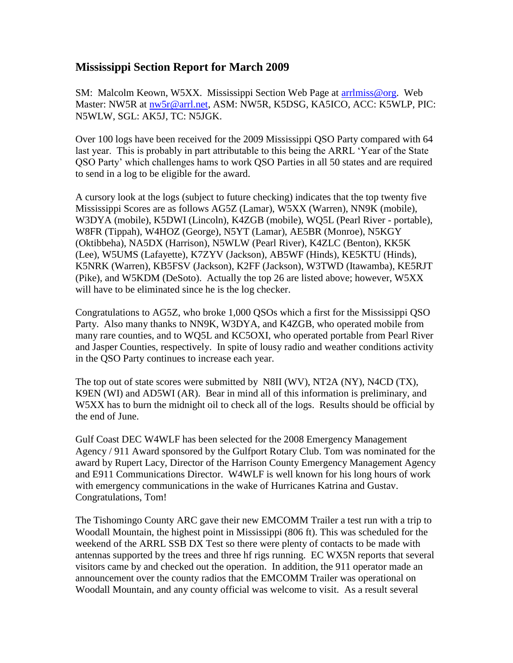## **Mississippi Section Report for March 2009**

SM: Malcolm Keown, W5XX. Mississippi Section Web Page at arrilmiss@org. Web Master: NW5R at [nw5r@arrl.net,](mailto:nw5r@arrl.net) ASM: NW5R, K5DSG, KA5ICO, ACC: K5WLP, PIC: N5WLW, SGL: AK5J, TC: N5JGK.

Over 100 logs have been received for the 2009 Mississippi QSO Party compared with 64 last year. This is probably in part attributable to this being the ARRL 'Year of the State QSO Party' which challenges hams to work QSO Parties in all 50 states and are required to send in a log to be eligible for the award.

A cursory look at the logs (subject to future checking) indicates that the top twenty five Mississippi Scores are as follows AG5Z (Lamar), W5XX (Warren), NN9K (mobile), W3DYA (mobile), K5DWI (Lincoln), K4ZGB (mobile), WQ5L (Pearl River - portable), W8FR (Tippah), W4HOZ (George), N5YT (Lamar), AE5BR (Monroe), N5KGY (Oktibbeha), NA5DX (Harrison), N5WLW (Pearl River), K4ZLC (Benton), KK5K (Lee), W5UMS (Lafayette), K7ZYV (Jackson), AB5WF (Hinds), KE5KTU (Hinds), K5NRK (Warren), KB5FSV (Jackson), K2FF (Jackson), W3TWD (Itawamba), KE5RJT (Pike), and W5KDM (DeSoto). Actually the top 26 are listed above; however, W5XX will have to be eliminated since he is the log checker.

Congratulations to AG5Z, who broke 1,000 QSOs which a first for the Mississippi QSO Party. Also many thanks to NN9K, W3DYA, and K4ZGB, who operated mobile from many rare counties, and to WQ5L and KC5OXI, who operated portable from Pearl River and Jasper Counties, respectively. In spite of lousy radio and weather conditions activity in the QSO Party continues to increase each year.

The top out of state scores were submitted by N8II (WV), NT2A (NY), N4CD (TX), K9EN (WI) and AD5WI (AR). Bear in mind all of this information is preliminary, and W5XX has to burn the midnight oil to check all of the logs. Results should be official by the end of June.

Gulf Coast DEC W4WLF has been selected for the 2008 Emergency Management Agency / 911 Award sponsored by the Gulfport Rotary Club. Tom was nominated for the award by Rupert Lacy, Director of the Harrison County Emergency Management Agency and E911 Communications Director. W4WLF is well known for his long hours of work with emergency communications in the wake of Hurricanes Katrina and Gustav. Congratulations, Tom!

The Tishomingo County ARC gave their new EMCOMM Trailer a test run with a trip to Woodall Mountain, the highest point in Mississippi (806 ft). This was scheduled for the weekend of the ARRL SSB DX Test so there were plenty of contacts to be made with antennas supported by the trees and three hf rigs running. EC WX5N reports that several visitors came by and checked out the operation. In addition, the 911 operator made an announcement over the county radios that the EMCOMM Trailer was operational on Woodall Mountain, and any county official was welcome to visit. As a result several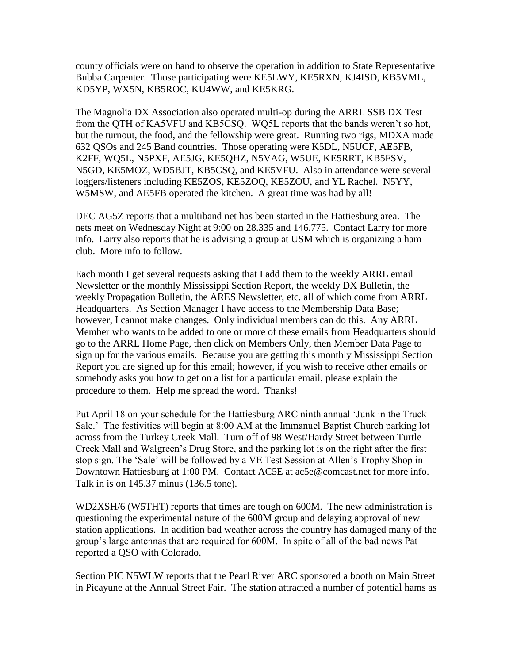county officials were on hand to observe the operation in addition to State Representative Bubba Carpenter. Those participating were KE5LWY, KE5RXN, KJ4ISD, KB5VML, KD5YP, WX5N, KB5ROC, KU4WW, and KE5KRG.

The Magnolia DX Association also operated multi-op during the ARRL SSB DX Test from the QTH of KA5VFU and KB5CSQ. WQ5L reports that the bands weren't so hot, but the turnout, the food, and the fellowship were great. Running two rigs, MDXA made 632 QSOs and 245 Band countries. Those operating were K5DL, N5UCF, AE5FB, K2FF, WQ5L, N5PXF, AE5JG, KE5QHZ, N5VAG, W5UE, KE5RRT, KB5FSV, N5GD, KE5MOZ, WD5BJT, KB5CSQ, and KE5VFU. Also in attendance were several loggers/listeners including KE5ZOS, KE5ZOQ, KE5ZOU, and YL Rachel. N5YY, W5MSW, and AE5FB operated the kitchen. A great time was had by all!

DEC AG5Z reports that a multiband net has been started in the Hattiesburg area. The nets meet on Wednesday Night at 9:00 on 28.335 and 146.775. Contact Larry for more info. Larry also reports that he is advising a group at USM which is organizing a ham club. More info to follow.

Each month I get several requests asking that I add them to the weekly ARRL email Newsletter or the monthly Mississippi Section Report, the weekly DX Bulletin, the weekly Propagation Bulletin, the ARES Newsletter, etc. all of which come from ARRL Headquarters. As Section Manager I have access to the Membership Data Base; however, I cannot make changes. Only individual members can do this. Any ARRL Member who wants to be added to one or more of these emails from Headquarters should go to the ARRL Home Page, then click on Members Only, then Member Data Page to sign up for the various emails. Because you are getting this monthly Mississippi Section Report you are signed up for this email; however, if you wish to receive other emails or somebody asks you how to get on a list for a particular email, please explain the procedure to them. Help me spread the word. Thanks!

Put April 18 on your schedule for the Hattiesburg ARC ninth annual 'Junk in the Truck Sale.' The festivities will begin at 8:00 AM at the Immanuel Baptist Church parking lot across from the Turkey Creek Mall. Turn off of 98 West/Hardy Street between Turtle Creek Mall and Walgreen's Drug Store, and the parking lot is on the right after the first stop sign. The 'Sale' will be followed by a VE Test Session at Allen's Trophy Shop in Downtown Hattiesburg at 1:00 PM. Contact AC5E at ac5e@comcast.net for more info. Talk in is on 145.37 minus (136.5 tone).

WD2XSH/6 (W5THT) reports that times are tough on 600M. The new administration is questioning the experimental nature of the 600M group and delaying approval of new station applications. In addition bad weather across the country has damaged many of the group's large antennas that are required for 600M. In spite of all of the bad news Pat reported a QSO with Colorado.

Section PIC N5WLW reports that the Pearl River ARC sponsored a booth on Main Street in Picayune at the Annual Street Fair. The station attracted a number of potential hams as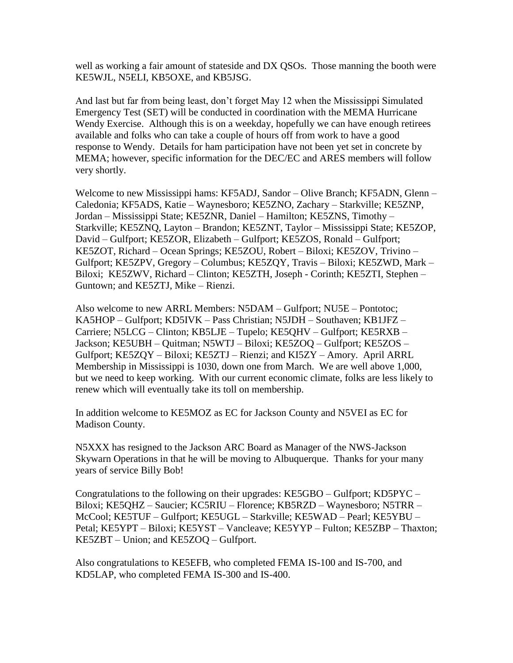well as working a fair amount of stateside and DX QSOs. Those manning the booth were KE5WJL, N5ELI, KB5OXE, and KB5JSG.

And last but far from being least, don't forget May 12 when the Mississippi Simulated Emergency Test (SET) will be conducted in coordination with the MEMA Hurricane Wendy Exercise. Although this is on a weekday, hopefully we can have enough retirees available and folks who can take a couple of hours off from work to have a good response to Wendy. Details for ham participation have not been yet set in concrete by MEMA; however, specific information for the DEC/EC and ARES members will follow very shortly.

Welcome to new Mississippi hams: KF5ADJ, Sandor – Olive Branch; KF5ADN, Glenn – Caledonia; KF5ADS, Katie – Waynesboro; KE5ZNO, Zachary – Starkville; KE5ZNP, Jordan – Mississippi State; KE5ZNR, Daniel – Hamilton; KE5ZNS, Timothy – Starkville; KE5ZNQ, Layton – Brandon; KE5ZNT, Taylor – Mississippi State; KE5ZOP, David – Gulfport; KE5ZOR, Elizabeth – Gulfport; KE5ZOS, Ronald – Gulfport; KE5ZOT, Richard – Ocean Springs; KE5ZOU, Robert – Biloxi; KE5ZOV, Trivino – Gulfport; KE5ZPV, Gregory – Columbus; KE5ZQY, Travis – Biloxi; KE5ZWD, Mark – Biloxi; KE5ZWV, Richard – Clinton; KE5ZTH, Joseph - Corinth; KE5ZTI, Stephen – Guntown; and KE5ZTJ, Mike – Rienzi.

Also welcome to new ARRL Members: N5DAM – Gulfport; NU5E – Pontotoc; KA5HOP – Gulfport; KD5IVK – Pass Christian; N5JDH – Southaven; KB1JFZ – Carriere; N5LCG – Clinton; KB5LJE – Tupelo; KE5QHV – Gulfport; KE5RXB – Jackson; KE5UBH – Quitman; N5WTJ – Biloxi; KE5ZOQ – Gulfport; KE5ZOS – Gulfport; KE5ZQY – Biloxi; KE5ZTJ – Rienzi; and KI5ZY – Amory. April ARRL Membership in Mississippi is 1030, down one from March. We are well above 1,000, but we need to keep working. With our current economic climate, folks are less likely to renew which will eventually take its toll on membership.

In addition welcome to KE5MOZ as EC for Jackson County and N5VEI as EC for Madison County.

N5XXX has resigned to the Jackson ARC Board as Manager of the NWS-Jackson Skywarn Operations in that he will be moving to Albuquerque. Thanks for your many years of service Billy Bob!

Congratulations to the following on their upgrades: KE5GBO – Gulfport; KD5PYC – Biloxi; KE5QHZ – Saucier; KC5RIU – Florence; KB5RZD – Waynesboro; N5TRR – McCool; KE5TUF – Gulfport; KE5UGL – Starkville; KE5WAD – Pearl; KE5YBU – Petal; KE5YPT – Biloxi; KE5YST – Vancleave; KE5YYP – Fulton; KE5ZBP – Thaxton; KE5ZBT – Union; and KE5ZOQ – Gulfport.

Also congratulations to KE5EFB, who completed FEMA IS-100 and IS-700, and KD5LAP, who completed FEMA IS-300 and IS-400.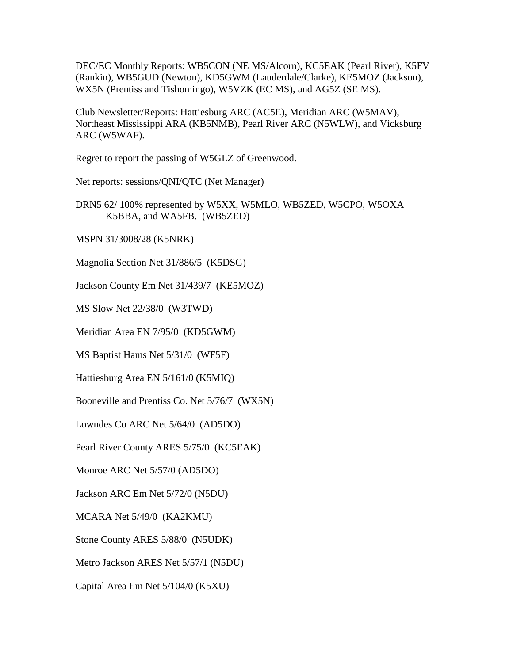DEC/EC Monthly Reports: WB5CON (NE MS/Alcorn), KC5EAK (Pearl River), K5FV (Rankin), WB5GUD (Newton), KD5GWM (Lauderdale/Clarke), KE5MOZ (Jackson), WX5N (Prentiss and Tishomingo), W5VZK (EC MS), and AG5Z (SE MS).

Club Newsletter/Reports: Hattiesburg ARC (AC5E), Meridian ARC (W5MAV), Northeast Mississippi ARA (KB5NMB), Pearl River ARC (N5WLW), and Vicksburg ARC (W5WAF).

Regret to report the passing of W5GLZ of Greenwood.

Net reports: sessions/QNI/QTC (Net Manager)

DRN5 62/ 100% represented by W5XX, W5MLO, WB5ZED, W5CPO, W5OXA K5BBA, and WA5FB. (WB5ZED)

MSPN 31/3008/28 (K5NRK)

Magnolia Section Net 31/886/5 (K5DSG)

Jackson County Em Net 31/439/7 (KE5MOZ)

MS Slow Net 22/38/0 (W3TWD)

Meridian Area EN 7/95/0 (KD5GWM)

MS Baptist Hams Net 5/31/0 (WF5F)

Hattiesburg Area EN 5/161/0 (K5MIQ)

Booneville and Prentiss Co. Net 5/76/7 (WX5N)

Lowndes Co ARC Net 5/64/0 (AD5DO)

Pearl River County ARES 5/75/0 (KC5EAK)

Monroe ARC Net 5/57/0 (AD5DO)

Jackson ARC Em Net 5/72/0 (N5DU)

MCARA Net 5/49/0 (KA2KMU)

Stone County ARES 5/88/0 (N5UDK)

Metro Jackson ARES Net 5/57/1 (N5DU)

Capital Area Em Net 5/104/0 (K5XU)